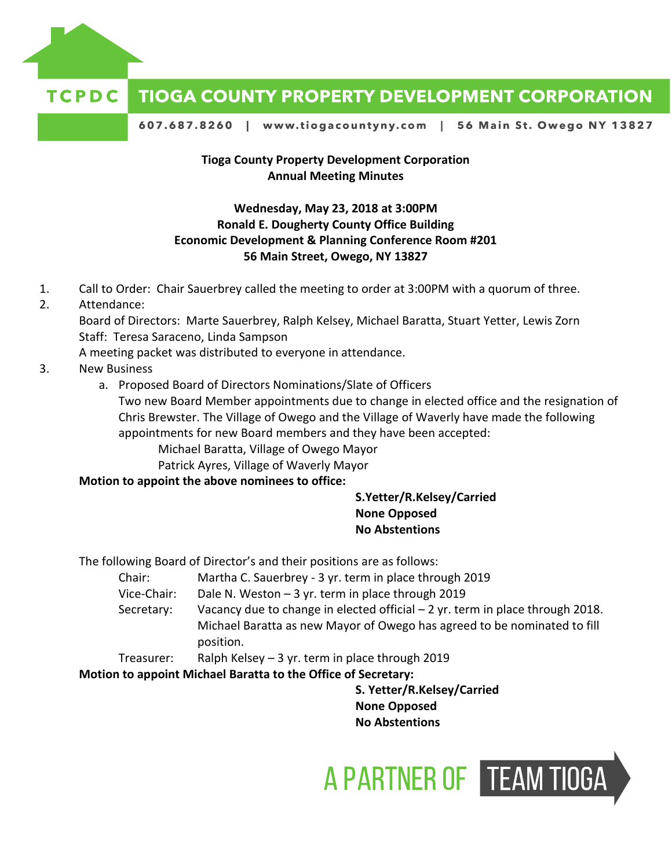

#### TCPDC **TIOGA COUNTY PROPERTY DEVELOPMENT CORPORATION**

607.687.8260 | www.tiogacountyny.com | 56 Main St. Owego NY 13827

## **Tioga County Property Development Corporation Annual Meeting Minutes**

## **Wednesday, May 23, 2018 at 3:00PM Ronald E. Dougherty County Office Building Economic Development & Planning Conference Room #201 56 Main Street, Owego, NY 13827**

- 1. Call to Order: Chair Sauerbrey called the meeting to order at 3:00PM with a quorum of three.
- 2. Attendance:

Board of Directors: Marte Sauerbrey, Ralph Kelsey, Michael Baratta, Stuart Yetter, Lewis Zorn Staff: Teresa Saraceno, Linda Sampson

A meeting packet was distributed to everyone in attendance.

- 3. New Business
	- a. Proposed Board of Directors Nominations/Slate of Officers

Two new Board Member appointments due to change in elected office and the resignation of Chris Brewster. The Village of Owego and the Village of Waverly have made the following appointments for new Board members and they have been accepted:

Michael Baratta, Village of Owego Mayor

Patrick Ayres, Village of Waverly Mayor

## **Motion to appoint the above nominees to office:**

## **S.Yetter/R.Kelsey/Carried None Opposed No Abstentions**

The following Board of Director's and their positions are as follows:

- Chair: Martha C. Sauerbrey 3 yr. term in place through 2019
- Vice-Chair: Dale N. Weston 3 yr. term in place through 2019
- Secretary: Vacancy due to change in elected official 2 yr. term in place through 2018. Michael Baratta as new Mayor of Owego has agreed to be nominated to fill position.
- Treasurer: Ralph Kelsey 3 yr. term in place through 2019

**Motion to appoint Michael Baratta to the Office of Secretary:**

**S. Yetter/R.Kelsey/Carried None Opposed No Abstentions**

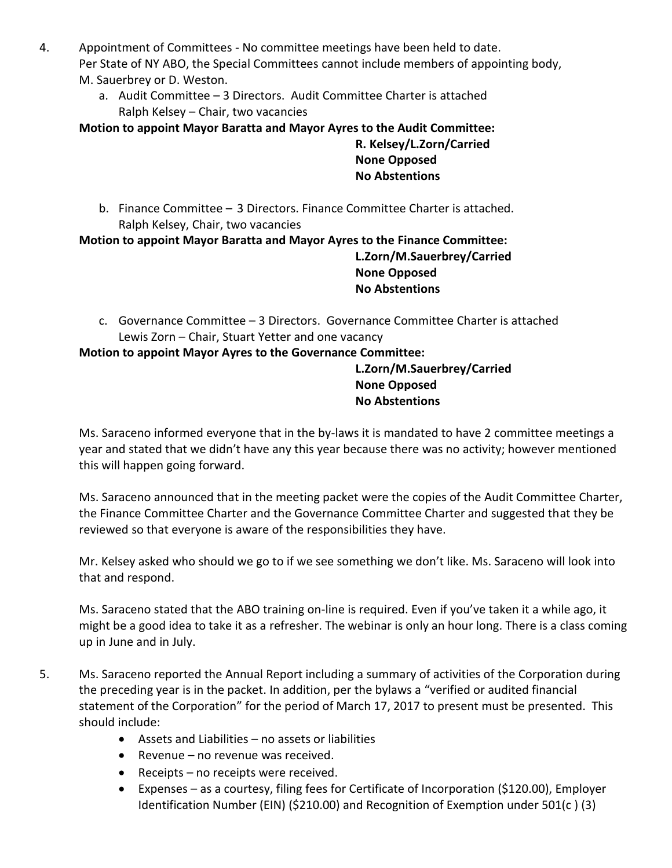- 4. Appointment of Committees No committee meetings have been held to date. Per State of NY ABO, the Special Committees cannot include members of appointing body, M. Sauerbrey or D. Weston.
	- a. Audit Committee 3 Directors. Audit Committee Charter is attached Ralph Kelsey – Chair, two vacancies

**Motion to appoint Mayor Baratta and Mayor Ayres to the Audit Committee:**

# **R. Kelsey/L.Zorn/Carried None Opposed No Abstentions**

b. Finance Committee – 3 Directors. Finance Committee Charter is attached. Ralph Kelsey, Chair, two vacancies

**Motion to appoint Mayor Baratta and Mayor Ayres to the Finance Committee:**

# **L.Zorn/M.Sauerbrey/Carried None Opposed No Abstentions**

c. Governance Committee – 3 Directors. Governance Committee Charter is attached Lewis Zorn – Chair, Stuart Yetter and one vacancy

**Motion to appoint Mayor Ayres to the Governance Committee:**

**L.Zorn/M.Sauerbrey/Carried None Opposed No Abstentions**

Ms. Saraceno informed everyone that in the by-laws it is mandated to have 2 committee meetings a year and stated that we didn't have any this year because there was no activity; however mentioned this will happen going forward.

Ms. Saraceno announced that in the meeting packet were the copies of the Audit Committee Charter, the Finance Committee Charter and the Governance Committee Charter and suggested that they be reviewed so that everyone is aware of the responsibilities they have.

Mr. Kelsey asked who should we go to if we see something we don't like. Ms. Saraceno will look into that and respond.

Ms. Saraceno stated that the ABO training on-line is required. Even if you've taken it a while ago, it might be a good idea to take it as a refresher. The webinar is only an hour long. There is a class coming up in June and in July.

- 5. Ms. Saraceno reported the Annual Report including a summary of activities of the Corporation during the preceding year is in the packet. In addition, per the bylaws a "verified or audited financial statement of the Corporation" for the period of March 17, 2017 to present must be presented. This should include:
	- Assets and Liabilities no assets or liabilities
	- Revenue no revenue was received.
	- Receipts no receipts were received.
	- Expenses as a courtesy, filing fees for Certificate of Incorporation (\$120.00), Employer Identification Number (EIN) (\$210.00) and Recognition of Exemption under 501(c ) (3)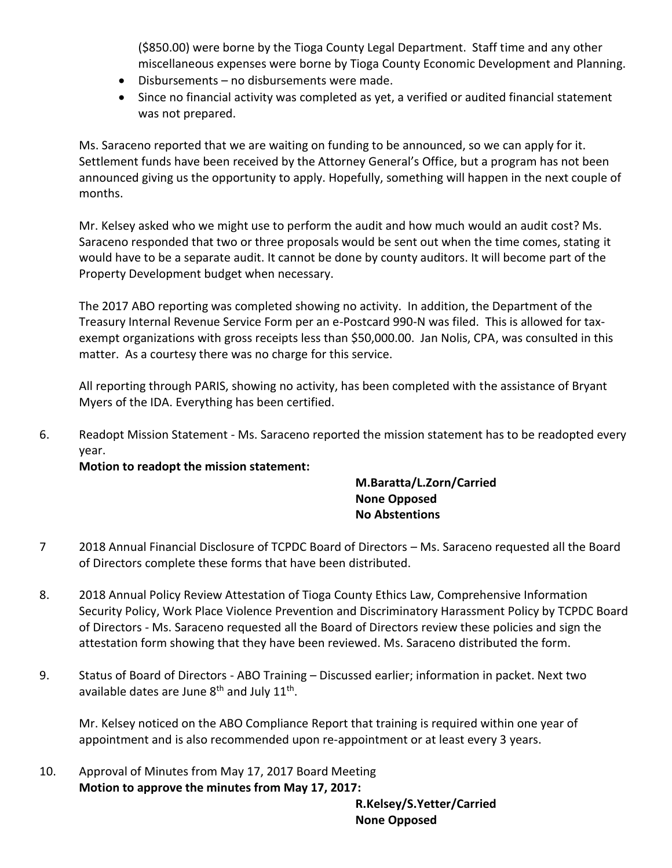(\$850.00) were borne by the Tioga County Legal Department. Staff time and any other miscellaneous expenses were borne by Tioga County Economic Development and Planning.

- Disbursements no disbursements were made.
- Since no financial activity was completed as yet, a verified or audited financial statement was not prepared.

Ms. Saraceno reported that we are waiting on funding to be announced, so we can apply for it. Settlement funds have been received by the Attorney General's Office, but a program has not been announced giving us the opportunity to apply. Hopefully, something will happen in the next couple of months.

Mr. Kelsey asked who we might use to perform the audit and how much would an audit cost? Ms. Saraceno responded that two or three proposals would be sent out when the time comes, stating it would have to be a separate audit. It cannot be done by county auditors. It will become part of the Property Development budget when necessary.

The 2017 ABO reporting was completed showing no activity. In addition, the Department of the Treasury Internal Revenue Service Form per an e-Postcard 990-N was filed. This is allowed for taxexempt organizations with gross receipts less than \$50,000.00. Jan Nolis, CPA, was consulted in this matter. As a courtesy there was no charge for this service.

All reporting through PARIS, showing no activity, has been completed with the assistance of Bryant Myers of the IDA. Everything has been certified.

6. Readopt Mission Statement - Ms. Saraceno reported the mission statement has to be readopted every year.

**Motion to readopt the mission statement:**

# **M.Baratta/L.Zorn/Carried None Opposed No Abstentions**

- 7 2018 Annual Financial Disclosure of TCPDC Board of Directors Ms. Saraceno requested all the Board of Directors complete these forms that have been distributed.
- 8. 2018 Annual Policy Review Attestation of Tioga County Ethics Law, Comprehensive Information Security Policy, Work Place Violence Prevention and Discriminatory Harassment Policy by TCPDC Board of Directors - Ms. Saraceno requested all the Board of Directors review these policies and sign the attestation form showing that they have been reviewed. Ms. Saraceno distributed the form.
- 9. Status of Board of Directors ABO Training Discussed earlier; information in packet. Next two available dates are June 8<sup>th</sup> and July 11<sup>th</sup>.

Mr. Kelsey noticed on the ABO Compliance Report that training is required within one year of appointment and is also recommended upon re-appointment or at least every 3 years.

10. Approval of Minutes from May 17, 2017 Board Meeting **Motion to approve the minutes from May 17, 2017:**

> **R.Kelsey/S.Yetter/Carried None Opposed**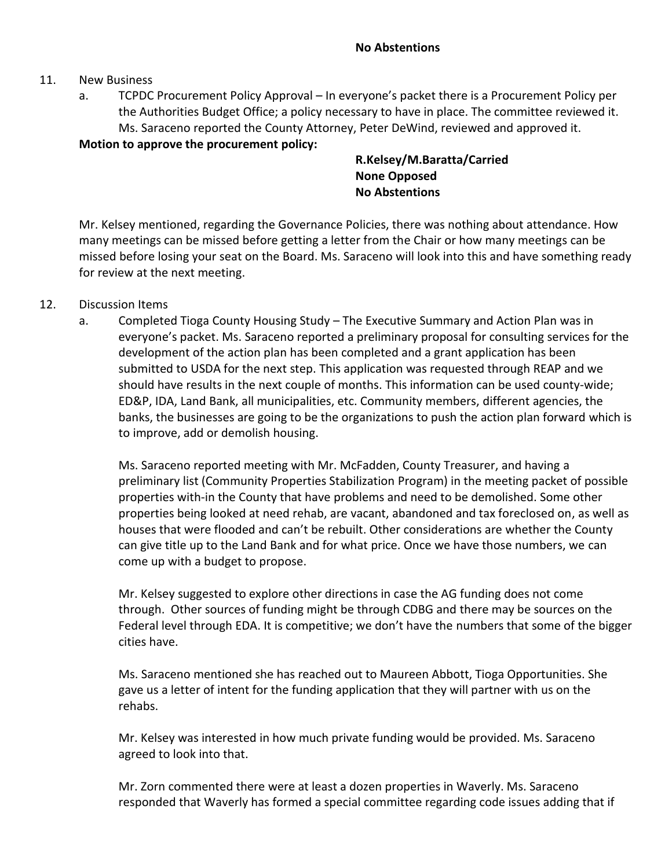#### 11. New Business

a. TCPDC Procurement Policy Approval – In everyone's packet there is a Procurement Policy per the Authorities Budget Office; a policy necessary to have in place. The committee reviewed it. Ms. Saraceno reported the County Attorney, Peter DeWind, reviewed and approved it.

**Motion to approve the procurement policy:**

**R.Kelsey/M.Baratta/Carried None Opposed No Abstentions**

Mr. Kelsey mentioned, regarding the Governance Policies, there was nothing about attendance. How many meetings can be missed before getting a letter from the Chair or how many meetings can be missed before losing your seat on the Board. Ms. Saraceno will look into this and have something ready for review at the next meeting.

## 12. Discussion Items

a. Completed Tioga County Housing Study – The Executive Summary and Action Plan was in everyone's packet. Ms. Saraceno reported a preliminary proposal for consulting services for the development of the action plan has been completed and a grant application has been submitted to USDA for the next step. This application was requested through REAP and we should have results in the next couple of months. This information can be used county-wide; ED&P, IDA, Land Bank, all municipalities, etc. Community members, different agencies, the banks, the businesses are going to be the organizations to push the action plan forward which is to improve, add or demolish housing.

Ms. Saraceno reported meeting with Mr. McFadden, County Treasurer, and having a preliminary list (Community Properties Stabilization Program) in the meeting packet of possible properties with-in the County that have problems and need to be demolished. Some other properties being looked at need rehab, are vacant, abandoned and tax foreclosed on, as well as houses that were flooded and can't be rebuilt. Other considerations are whether the County can give title up to the Land Bank and for what price. Once we have those numbers, we can come up with a budget to propose.

Mr. Kelsey suggested to explore other directions in case the AG funding does not come through. Other sources of funding might be through CDBG and there may be sources on the Federal level through EDA. It is competitive; we don't have the numbers that some of the bigger cities have.

Ms. Saraceno mentioned she has reached out to Maureen Abbott, Tioga Opportunities. She gave us a letter of intent for the funding application that they will partner with us on the rehabs.

Mr. Kelsey was interested in how much private funding would be provided. Ms. Saraceno agreed to look into that.

Mr. Zorn commented there were at least a dozen properties in Waverly. Ms. Saraceno responded that Waverly has formed a special committee regarding code issues adding that if